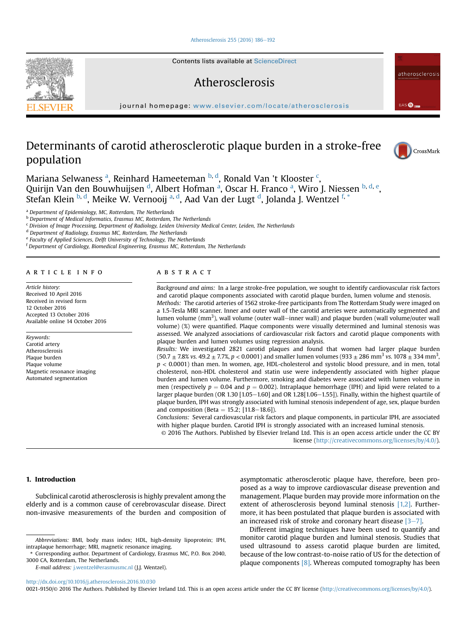#### [Atherosclerosis 255 \(2016\) 186](http://dx.doi.org/10.1016/j.atherosclerosis.2016.10.030)-[192](http://dx.doi.org/10.1016/j.atherosclerosis.2016.10.030)

Contents lists available at ScienceDirect

# Atherosclerosis

journal homepage: [www.elsevier.com/locate/atherosclerosis](http://www.elsevier.com/locate/atherosclerosis)

# Determinants of carotid atherosclerotic plaque burden in a stroke-free population



atherosclerosis

EAS @<sub>cm</sub>

Mariana Selwaness <sup>a</sup>, Reinhard Hameeteman <sup>b, d</sup>, Ronald Van 't Klooster <sup>c</sup>, Quirijn Van den Bouwhuijsen <sup>d</sup>, Albert Hofman <sup>a</sup>, Oscar H. Franco <sup>a</sup>, Wiro J. Niessen <sup>b, d, e</sup>, Stefan Klein <sup>b, d</sup>, Meike W. Vernooij <sup>a, d</sup>, Aad Van der Lugt <sup>d</sup>, Jolanda J. Wentzel <sup>f, \*</sup>

<sup>a</sup> Department of Epidemiology, MC, Rotterdam, The Netherlands

**b** Department of Medical Informatics, Erasmus MC, Rotterdam, The Netherlands

<sup>c</sup> Division of Image Processing, Department of Radiology, Leiden University Medical Center, Leiden, The Netherlands

<sup>d</sup> Department of Radiology, Erasmus MC, Rotterdam, The Netherlands

<sup>e</sup> Faculty of Applied Sciences, Delft University of Technology, The Netherlands

<sup>f</sup> Department of Cardiology, Biomedical Engineering, Erasmus MC, Rotterdam, The Netherlands

## article info

Article history: Received 10 April 2016 Received in revised form 12 October 2016 Accepted 13 October 2016 Available online 14 October 2016

Keywords: Carotid artery Atherosclerosis Plaque burden Plaque volume Magnetic resonance imaging Automated segmentation

# **ABSTRACT**

Background and aims: In a large stroke-free population, we sought to identify cardiovascular risk factors and carotid plaque components associated with carotid plaque burden, lumen volume and stenosis. Methods: The carotid arteries of 1562 stroke-free participants from The Rotterdam Study were imaged on a 1.5-Tesla MRI scanner. Inner and outer wall of the carotid arteries were automatically segmented and lumen volume  $\rm (mm^3)$ , wall volume (outer wall–inner wall) and plaque burden (wall volume/outer wall volume) (%) were quantified. Plaque components were visually determined and luminal stenosis was assessed. We analyzed associations of cardiovascular risk factors and carotid plaque components with plaque burden and lumen volumes using regression analysis.

Results: We investigated 2821 carotid plaques and found that women had larger plaque burden  $(50.7 \pm 7.8\% \text{ vs. } 49.2 \pm 7.7\%, p < 0.0001)$  and smaller lumen volumes  $(933 \pm 286 \text{ mm}^3 \text{ vs. } 1078 \pm 334 \text{ mm}^3,$  $p < 0.0001$ ) than men. In women, age, HDL-cholesterol and systolic blood pressure, and in men, total cholesterol, non-HDL cholesterol and statin use were independently associated with higher plaque burden and lumen volume. Furthermore, smoking and diabetes were associated with lumen volume in men (respectively  $p = 0.04$  and  $p = 0.002$ ). Intraplaque hemorrhage (IPH) and lipid were related to a larger plaque burden (OR 1.30  $[1.05-1.60]$  and OR 1.28 $[1.06-1.55]$ ). Finally, within the highest quartile of plaque burden, IPH was strongly associated with luminal stenosis independent of age, sex, plaque burden and composition (Beta = 15.2; [11.8–18.6]).

Conclusions: Several cardiovascular risk factors and plaque components, in particular IPH, are associated with higher plaque burden. Carotid IPH is strongly associated with an increased luminal stenosis.

© 2016 The Authors. Published by Elsevier Ireland Ltd. This is an open access article under the CC BY license [\(http://creativecommons.org/licenses/by/4.0/](http://creativecommons.org/licenses/by/4.0/)).

# 1. Introduction

Subclinical carotid atherosclerosis is highly prevalent among the elderly and is a common cause of cerebrovascular disease. Direct non-invasive measurements of the burden and composition of

E-mail address: [j.wentzel@erasmusmc.nl](mailto:j.wentzel@erasmusmc.nl) (J.J. Wentzel).

asymptomatic atherosclerotic plaque have, therefore, been proposed as a way to improve cardiovascular disease prevention and management. Plaque burden may provide more information on the extent of atherosclerosis beyond luminal stenosis [\[1,2\]](#page-5-0). Furthermore, it has been postulated that plaque burden is associated with an increased risk of stroke and coronary heart disease  $[3-7]$  $[3-7]$  $[3-7]$ .

Different imaging techniques have been used to quantify and monitor carotid plaque burden and luminal stenosis. Studies that used ultrasound to assess carotid plaque burden are limited, because of the low contrast-to-noise ratio of US for the detection of plaque components [\[8\].](#page-5-0) Whereas computed tomography has been

<http://dx.doi.org/10.1016/j.atherosclerosis.2016.10.030>

0021-9150/© 2016 The Authors. Published by Elsevier Ireland Ltd. This is an open access article under the CC BY license [\(http://creativecommons.org/licenses/by/4.0/\)](http://creativecommons.org/licenses/by/4.0/).



Abbreviations: BMI, body mass index; HDL, high-density lipoprotein; IPH, intraplaque hemorrhage; MRI, magnetic resonance imaging.

<sup>\*</sup> Corresponding author. Department of Cardiology, Erasmus MC, P.O. Box 2040, 3000 CA, Rotterdam, The Netherlands.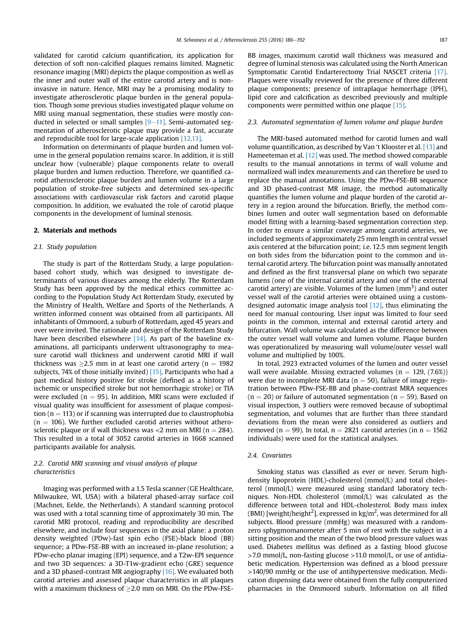validated for carotid calcium quantification, its application for detection of soft non-calcified plaques remains limited. Magnetic resonance imaging (MRI) depicts the plaque composition as well as the inner and outer wall of the entire carotid artery and is noninvasive in nature. Hence, MRI may be a promising modality to investigate atherosclerotic plaque burden in the general population. Though some previous studies investigated plaque volume on MRI using manual segmentation, these studies were mostly conducted in selected or small samples  $[9-11]$  $[9-11]$ . Semi-automated segmentation of atherosclerotic plaque may provide a fast, accurate and reproducible tool for large-scale application [\[12,13\].](#page-5-0)

Information on determinants of plaque burden and lumen volume in the general population remains scarce. In addition, it is still unclear how (vulnerable) plaque components relate to overall plaque burden and lumen reduction. Therefore, we quantified carotid atherosclerotic plaque burden and lumen volume in a large population of stroke-free subjects and determined sex-specific associations with cardiovascular risk factors and carotid plaque composition. In addition, we evaluated the role of carotid plaque components in the development of luminal stenosis.

#### 2. Materials and methods

## 2.1. Study population

The study is part of the Rotterdam Study, a large populationbased cohort study, which was designed to investigate determinants of various diseases among the elderly. The Rotterdam Study has been approved by the medical ethics committee according to the Population Study Act Rotterdam Study, executed by the Ministry of Health, Welfare and Sports of the Netherlands. A written informed consent was obtained from all participants. All inhabitants of Ommoord, a suburb of Rotterdam, aged 45 years and over were invited. The rationale and design of the Rotterdam Study have been described elsewhere [\[14\].](#page-6-0) As part of the baseline examinations, all participants underwent ultrasonography to measure carotid wall thickness and underwent carotid MRI if wall thickness was  $\geq$ 2.5 mm in at least one carotid artery (n = 1982 subjects, 74% of those initially invited)  $[15]$ . Participants who had a past medical history positive for stroke (defined as a history of ischemic or unspecified stroke but not hemorrhagic stroke) or TIA were excluded ( $n = 95$ ). In addition, MRI scans were excluded if visual quality was insufficient for assessment of plaque composition ( $n = 113$ ) or if scanning was interrupted due to claustrophobia  $(n = 106)$ . We further excluded carotid arteries without atherosclerotic plaque or if wall thickness was  $<$ 2 mm on MRI (n = 284). This resulted in a total of 3052 carotid arteries in 1668 scanned participants available for analysis.

# 2.2. Carotid MRI scanning and visual analysis of plaque characteristics

Imaging was performed with a 1.5 Tesla scanner (GE Healthcare, Milwaukee, WI, USA) with a bilateral phased-array surface coil (Machnet, Eelde, the Netherlands). A standard scanning protocol was used with a total scanning time of approximately 30 min. The carotid MRI protocol, reading and reproducibility are described elsewhere, and include four sequences in the axial plane: a proton density weighted (PDw)-fast spin echo (FSE)-black blood (BB) sequence; a PDw-FSE-BB with an increased in-plane resolution; a PDw-echo planar imaging (EPI) sequence, and a T2w-EPI sequence and two 3D sequences: a 3D-T1w-gradient echo (GRE) sequence and a 3D phased-contrast MR angiography [\[16\]](#page-6-0). We evaluated both carotid arteries and assessed plaque characteristics in all plaques with a maximum thickness of  $\geq$  2.0 mm on MRI. On the PDw-FSE-

BB images, maximum carotid wall thickness was measured and degree of luminal stenosis was calculated using the North American Symptomatic Carotid Endarterectomy Trial NASCET criteria [\[17\].](#page-6-0) Plaques were visually reviewed for the presence of three different plaque components; presence of intraplaque hemorrhage (IPH), lipid core and calcification as described previously and multiple components were permitted within one plaque [\[15\].](#page-6-0)

## 2.3. Automated segmentation of lumen volume and plaque burden

The MRI-based automated method for carotid lumen and wall volume quantification, as described by Van 't Klooster et al. [\[13\]](#page-6-0) and Hameeteman et al. [\[12\]](#page-5-0) was used. The method showed comparable results to the manual annotations in terms of wall volume and normalized wall index measurements and can therefore be used to replace the manual annotations. Using the PDw-FSE-BB sequence and 3D phased-contrast MR image, the method automatically quantifies the lumen volume and plaque burden of the carotid artery in a region around the bifurcation. Briefly, the method combines lumen and outer wall segmentation based on deformable model fitting with a learning-based segmentation correction step. In order to ensure a similar coverage among carotid arteries, we included segments of approximately 25 mm length in central vessel axis centered at the bifurcation point; i.e. 12.5 mm segment length on both sides from the bifurcation point to the common and internal carotid artery. The bifurcation point was manually annotated and defined as the first transversal plane on which two separate lumens (one of the internal carotid artery and one of the external carotid artery) are visible. Volumes of the lumen  $\text{(mm}^3)$  and outer vessel wall of the carotid arteries were obtained using a customdesigned automatic image analysis tool [\[12\],](#page-5-0) thus eliminating the need for manual contouring. User input was limited to four seed points in the common, internal and external carotid artery and bifurcation. Wall volume was calculated as the difference between the outer vessel wall volume and lumen volume. Plaque burden was operationalized by measuring wall volume/outer vessel wall volume and multiplied by 100%.

In total, 2923 extracted volumes of the lumen and outer vessel wall were available. Missing extracted volumes ( $n = 129$ , (7.6%)) were due to incomplete MRI data ( $n = 50$ ), failure of image registration between PDw-FSE-BB and phase-contrast MRA sequences  $(n = 20)$  or failure of automated segmentation  $(n = 59)$ . Based on visual inspection, 3 outliers were removed because of suboptimal segmentation, and volumes that are further than three standard deviations from the mean were also considered as outliers and removed (n = 99). In total, n = 2821 carotid arteries (in  $n = 1562$ individuals) were used for the statistical analyses.

### 2.4. Covariates

Smoking status was classified as ever or never. Serum highdensity lipoprotein (HDL)-cholesterol (mmol/L) and total cholesterol (mmol/L) were measured using standard laboratory techniques. Non-HDL cholesterol (mmol/L) was calculated as the difference between total and HDL-cholesterol. Body mass index (BMI) [weight/height<sup>2</sup>], expressed in kg/m<sup>2</sup>, was determined for all subjects. Blood pressure (mmHg) was measured with a randomzero sphygmomanometer after 5 min of rest with the subject in a sitting position and the mean of the two blood pressure values was used. Diabetes mellitus was defined as a fasting blood glucose  $>7.0$  mmol/L, non-fasting glucose  $>11.0$  mmol/L, or use of antidiabetic medication. Hypertension was defined as a blood pressure >140/90 mmHg or the use of antihypertensive medication. Medication dispensing data were obtained from the fully computerized pharmacies in the Ommoord suburb. Information on all filled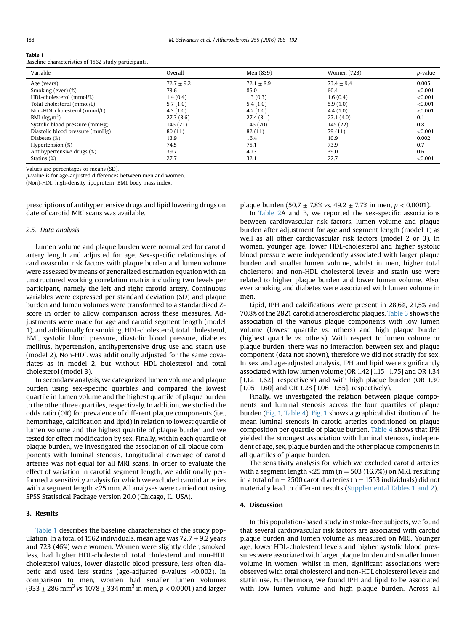#### Table 1

Baseline characteristics of 1562 study participants.

| Variable                          | Overall        | Men (839)    | Women (723)  | <i>p</i> -value |
|-----------------------------------|----------------|--------------|--------------|-----------------|
| Age (years)                       | $72.7 \pm 9.2$ | $72.1 + 8.9$ | $73.4 + 9.4$ | 0.005           |
| Smoking (ever) (%)                | 73.6           | 85.0         | 60.4         | < 0.001         |
| HDL-cholesterol (mmol/L)          | 1.4(0.4)       | 1.3(0.3)     | 1.6(0.4)     | < 0.001         |
| Total cholesterol (mmol/L)        | 5.7(1.0)       | 5.4(1.0)     | 5.9(1.0)     | < 0.001         |
| Non-HDL cholesterol (mmol/L)      | 4.3(1.0)       | 4.2(1.0)     | 4.4(1.0)     | < 0.001         |
| BMI $\left(\frac{kg}{m^2}\right)$ | 27.3(3.6)      | 27.4(3.1)    | 27.1(4.0)    | 0.1             |
| Systolic blood pressure (mmHg)    | 145 (21)       | 145 (20)     | 145 (22)     | 0.8             |
| Diastolic blood pressure (mmHg)   | 80(11)         | 82(11)       | 79 (11)      | < 0.001         |
| Diabetes (%)                      | 13.9           | 16.4         | 10.9         | 0.002           |
| Hypertension (%)                  | 74.5           | 75.1         | 73.9         | 0.7             |
| Antihypertensive drugs (%)        | 39.7           | 40.3         | 39.0         | 0.6             |
| Statins $(\%)$                    | 27.7           | 32.1         | 22.7         | < 0.001         |

Values are percentages or means (SD).

p-value is for age-adjusted differences between men and women.

(Non)-HDL, high-density lipoprotein; BMI, body mass index.

prescriptions of antihypertensive drugs and lipid lowering drugs on date of carotid MRI scans was available.

#### 2.5. Data analysis

Lumen volume and plaque burden were normalized for carotid artery length and adjusted for age. Sex-specific relationships of cardiovascular risk factors with plaque burden and lumen volume were assessed by means of generalized estimation equation with an unstructured working correlation matrix including two levels per participant, namely the left and right carotid artery. Continuous variables were expressed per standard deviation (SD) and plaque burden and lumen volumes were transformed to a standardized Zscore in order to allow comparison across these measures. Adjustments were made for age and carotid segment length (model 1), and additionally for smoking, HDL-cholesterol, total cholesterol, BMI, systolic blood pressure, diastolic blood pressure, diabetes mellitus, hypertension, antihypertensive drug use and statin use (model 2). Non-HDL was additionally adjusted for the same covariates as in model 2, but without HDL-cholesterol and total cholesterol (model 3).

In secondary analysis, we categorized lumen volume and plaque burden using sex-specific quartiles and compared the lowest quartile in lumen volume and the highest quartile of plaque burden to the other three quartiles, respectively. In addition, we studied the odds ratio (OR) for prevalence of different plaque components (i.e., hemorrhage, calcification and lipid) in relation to lowest quartile of lumen volume and the highest quartile of plaque burden and we tested for effect modification by sex. Finally, within each quartile of plaque burden, we investigated the association of all plaque components with luminal stenosis. Longitudinal coverage of carotid arteries was not equal for all MRI scans. In order to evaluate the effect of variation in carotid segment length, we additionally performed a sensitivity analysis for which we excluded carotid arteries with a segment length <25 mm. All analyses were carried out using SPSS Statistical Package version 20.0 (Chicago, IL, USA).

## 3. Results

Table 1 describes the baseline characteristics of the study population. In a total of 1562 individuals, mean age was  $72.7 \pm 9.2$  years and 723 (46%) were women. Women were slightly older, smoked less, had higher HDL-cholesterol, total cholesterol and non-HDL cholesterol values, lower diastolic blood pressure, less often diabetic and used less statins (age-adjusted  $p$ -values <0.002). In comparison to men, women had smaller lumen volumes  $(933 \pm 286 \text{ mm}^3 \text{ vs. } 1078 \pm 334 \text{ mm}^3 \text{ in men}, p < 0.0001)$  and larger plaque burden (50.7  $\pm$  7.8% vs. 49.2  $\pm$  7.7% in men, p < 0.0001).

In [Table 2](#page-3-0)A and B, we reported the sex-specific associations between cardiovascular risk factors, lumen volume and plaque burden after adjustment for age and segment length (model 1) as well as all other cardiovascular risk factors (model 2 or 3). In women, younger age, lower HDL-cholesterol and higher systolic blood pressure were independently associated with larger plaque burden and smaller lumen volume, whilst in men, higher total cholesterol and non-HDL cholesterol levels and statin use were related to higher plaque burden and lower lumen volume. Also, ever smoking and diabetes were associated with lumen volume in men.

Lipid, IPH and calcifications were present in 28,6%, 21,5% and 70,8% of the 2821 carotid atherosclerotic plaques. [Table 3](#page-4-0) shows the association of the various plaque components with low lumen volume (lowest quartile vs. others) and high plaque burden (highest quartile vs. others). With respect to lumen volume or plaque burden, there was no interaction between sex and plaque component (data not shown), therefore we did not stratify for sex. In sex and age-adjusted analysis, IPH and lipid were significantly associated with low lumen volume (OR  $1.42$  [1.15-1.75] and OR 1.34  $[1.12-1.62]$ , respectively) and with high plaque burden (OR 1.30  $[1.05-1.60]$  and OR 1.28  $[1.06-1.55]$ , respectively).

Finally, we investigated the relation between plaque components and luminal stenosis across the four quartiles of plaque burden [\(Fig. 1,](#page-4-0) [Table 4](#page-5-0)). [Fig. 1](#page-4-0) shows a graphical distribution of the mean luminal stenosis in carotid arteries conditioned on plaque composition per quartile of plaque burden. [Table 4](#page-5-0) shows that IPH yielded the strongest association with luminal stenosis, independent of age, sex, plaque burden and the other plaque components in all quartiles of plaque burden.

The sensitivity analysis for which we excluded carotid arteries with a segment length <25 mm ( $n = 503$  (16.7%)) on MRI, resulting in a total of  $n = 2500$  carotid arteries ( $n = 1553$  individuals) did not materially lead to different results (Supplemental Tables 1 and 2).

# 4. Discussion

In this population-based study in stroke-free subjects, we found that several cardiovascular risk factors are associated with carotid plaque burden and lumen volume as measured on MRI. Younger age, lower HDL-cholesterol levels and higher systolic blood pressures were associated with larger plaque burden and smaller lumen volume in women, whilst in men, significant associations were observed with total cholesterol and non-HDL cholesterol levels and statin use. Furthermore, we found IPH and lipid to be associated with low lumen volume and high plaque burden. Across all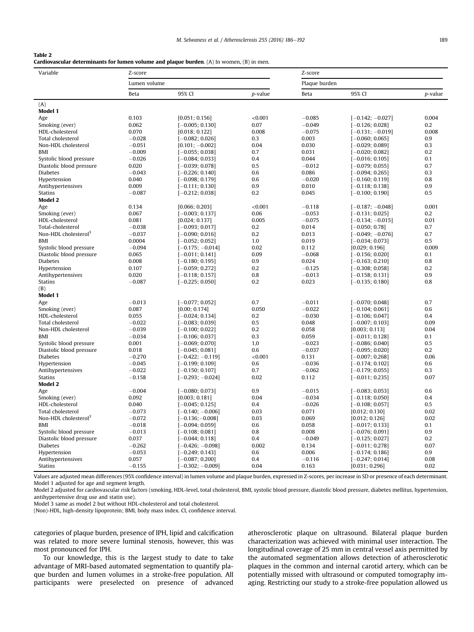# <span id="page-3-0"></span>Table 2

Cardiovascular determinants for lumen volume and plaque burden. (A) In women, (B) in men.

| Variable                                    | Z-score                    |                                       | Z-score      |                      |                                        |              |  |  |
|---------------------------------------------|----------------------------|---------------------------------------|--------------|----------------------|----------------------------------------|--------------|--|--|
|                                             | Lumen volume               |                                       |              |                      | Plaque burden                          |              |  |  |
| Beta                                        |                            | 95% CI                                | p-value      | Beta                 | 95% CI                                 | p-value      |  |  |
| (A)                                         |                            |                                       |              |                      |                                        |              |  |  |
| Model 1                                     |                            |                                       |              |                      |                                        |              |  |  |
| Age                                         | 0.103                      | [0.051; 0.156]                        | < 0.001      | $-0.085$             | $[-0.142; -0.027]$                     | 0.004        |  |  |
| Smoking (ever)                              | 0.062                      | $[-0.005; 0.130]$                     | 0.07         | $-0.049$<br>$-0.075$ | $[-0.126; 0.028]$                      | 0.2<br>0.008 |  |  |
| HDL-cholesterol<br>Total cholesterol        | 0.070<br>$-0.028$          | [0.018; 0.122]<br>[ $-0.082; 0.026$ ] | 0.008<br>0.3 | 0.003                | [-0.131; -0.019]<br>l –0.060: 0.0651   | 0.9          |  |  |
| Non-HDL cholesterol                         | $-0.051$                   | $[0.101; -0.002]$                     | 0.04         | 0.030                | $-0.029; 0.089]$                       | 0.3          |  |  |
| BMI                                         | $-0.009$                   | $[-0.055; 0.038]$                     | 0.7          | 0.031                | $[-0.020;\,0.082]$                     | 0.2          |  |  |
| Systolic blood pressure                     | $-0.026$                   | $[-0.084; 0.033]$                     | 0.4          | 0.044                | $[-0.016; 0.105]$                      | 0.1          |  |  |
| Diastolic blood pressure                    | 0.020                      | $[-0.039;\,0.078]$                    | 0.5          | $-0.012$             | $[-0.079;\,0.055]$                     | 0.7          |  |  |
| <b>Diabetes</b>                             | $-0.043$                   | $[-0.226; 0.140]$                     | 0.6          | 0.086                | $-0.094; 0.265]$                       | 0.3          |  |  |
| Hypertension                                | 0.040                      | $[-0.098; 0.179]$                     | 0.6          | $-0.020$             | $[-0.160; 0.119]$                      | 0.8          |  |  |
| Antihypertensives                           | 0.009                      | $-0.111$ ; 0.130]                     | 0.9          | 0.010                | $[-0.118; 0.138]$                      | 0.9          |  |  |
| Statins                                     | $-0.087$                   | $[-0.212; 0.038]$                     | 0.2          | 0.045                | $[-0.100; 0.190]$                      | 0.5          |  |  |
| <b>Model 2</b>                              |                            |                                       |              |                      |                                        |              |  |  |
| Age                                         | 0.134                      | [0.066; 0.203]                        | < 0.001      | $-0.118$             | $[-0.187; -0.048]$                     | 0.001        |  |  |
| Smoking (ever)                              | 0.067                      | $[-0.003; 0.137]$                     | 0.06         | $-0.053$             | $[-0.131; 0.025]$                      | 0.2          |  |  |
| HDL-cholesterol                             | 0.081                      | [0.024; 0.137]                        | 0.005        | $-0.075$             | $[-0.134; -0.015]$                     | 0.01         |  |  |
| Total-cholesterol                           | $-0.038$                   | $[-0.093; 0.017]$                     | 0.2          | 0.014                | $[-0.050; 0.78]$                       | 0.7          |  |  |
| Non-HDL cholesterol <sup>3</sup>            | $-0.037$                   | $[-0.090; 0.016]$                     | 0.2          | 0.013                | $[-0.049; -0.076]$                     | 0.7          |  |  |
| BMI                                         | 0.0004                     | $-0.052; 0.052]$                      | 1.0          | 0.019                | $[-0.034;\,0.073]$                     | 0.5          |  |  |
| Systolic blood pressure                     | $-0.094$                   | $[-0.175; -0.014]$                    | 0.02         | 0.112                | [0.029; 0.196]                         | 0.009        |  |  |
| Diastolic blood pressure<br><b>Diabetes</b> | 0.065                      | $[-0.011; 0.141]$                     | 0.09<br>0.9  | $-0.068$<br>0.024    | $[-0.156; 0.020]$                      | 0.1<br>0.8   |  |  |
| Hypertension                                | 0.008<br>0.107             | $[-0.180; 0.195]$<br>$-0.059; 0.272]$ | 0.2          | $-0.125$             | $[-0.163; 0.210]$<br>$[-0.308; 0.058]$ | 0.2          |  |  |
| Antihypertensives                           | 0.020                      | $[-0.118; 0.157]$                     | 0.8          | $-0.013$             | $[-0.158; 0.131]$                      | 0.9          |  |  |
| <b>Statins</b>                              | $-0.087$                   | $[-0.225; 0.050]$                     | 0.2          | 0.023                | $[-0.135; 0.180]$                      | 0.8          |  |  |
| (B)                                         |                            |                                       |              |                      |                                        |              |  |  |
| Model 1                                     |                            |                                       |              |                      |                                        |              |  |  |
| Age                                         | $-0.013$                   | $[-0.077; 0.052]$                     | 0.7          | $-0.011$             | $[-0.070; 0.048]$                      | 0.7          |  |  |
| Smoking (ever)                              | 0.087                      | [0.00; 0.174]                         | 0.050        | $-0.022$             | $[-0.104; 0.061]$                      | 0.6          |  |  |
| HDL-cholesterol                             | 0.055                      | $[-0.024; 0.134]$                     | 0.2          | $-0.030$             | $[-0.106; 0.047]$                      | 0.4          |  |  |
| Total cholesterol                           | $-0.022$                   | $-0.083; 0.039]$                      | 0.5          | 0.048                | $[-0.007; 0.103]$                      | 0.09         |  |  |
| Non-HDL cholesterol                         | $-0.039$                   | $[-0.100; 0.022]$                     | 0.2          | 0.058                | [0.003; 0.113]                         | 0.04         |  |  |
| <b>BMI</b>                                  | $-0.034$                   | $[-0.106; 0.037]$                     | 0.3          | 0.059                | $[-0.011; 0.128]$                      | 0.1          |  |  |
| Systolic blood pressure                     | 0.001                      | $[-0.069; 0.070]$                     | 1,0          | $-0.023$             | $[-0.086; 0.040]$                      | 0.5          |  |  |
| Diastolic blood pressure                    | 0.018                      | $-0.045; 0.081]$                      | 0.6          | $-0.037$             | $[-0.095; 0.020]$                      | 0.2          |  |  |
| <b>Diabetes</b>                             | $-0.270$                   | $[-0.422; -0.119]$                    | < 0.001      | 0.131                | $[-0.007; 0.268]$                      | 0.06         |  |  |
| Hypertension                                | $-0.045$                   | $[-0.199; 0.109]$                     | 0.6          | $-0.036$             | $[-0.174; 0.102]$                      | 0.6          |  |  |
| Antihypertensives                           | $-0.022$                   | $[-0.150; 0.107]$                     | 0.7          | $-0.062$             | $[-0.179; 0.055]$                      | 0.3<br>0.07  |  |  |
| <b>Statins</b><br><b>Model 2</b>            | $-0.158$                   | $[-0.293; -0.024]$                    | 0.02         | 0.112                | $[-0.011; 0.235]$                      |              |  |  |
| Age                                         | $-0.004$                   | $[-0.080; 0.073]$                     | 0.9          | $-0.015$             | $[-0.083; 0.053]$                      | 0.6          |  |  |
| Smoking (ever)                              | 0.092                      | [0.003; 0.181]                        | 0.04         | $-0.034$             | $[-0.118; 0.050]$                      | 0.4          |  |  |
| HDL-cholesterol                             | 0.040                      | $[-0.045; 0.125]$                     | 0.4          | $-0.026$             | $[-0.108; 0.057]$                      | 0.5          |  |  |
| Total cholesterol                           | $-0.073$                   | $[-0.140; -0.006]$                    | 0.03         | 0.071                | [0.012; 0.130]                         | 0.02         |  |  |
| Non-HDL cholesterol <sup>3</sup>            | $-0.072$                   | $[-0.136; -0.008]$                    | 0.03         | 0.069                | [0.012; 0.126]                         | 0.02         |  |  |
| <b>BMI</b>                                  | $-0.018$                   | $[-0.094; 0.059]$                     | 0.6          | 0.058                | $[-0.017; 0.133]$                      | 0.1          |  |  |
| Systolic blood pressure                     | $-0.013$                   | $[-0.108; 0.081]$                     | 0.8          | 0.008                | $[-0.076; 0.091]$                      | 0.9          |  |  |
| Diastolic blood pressure                    | 0.037                      | $[-0.044; 0.118]$                     | 0.4          | $-0.049$             | $[-0.125; 0.027]$                      | 0.2          |  |  |
| <b>Diabetes</b>                             | $-0.262$                   | $[-0.426; -0.098]$                    | 0.002        | 0.134                | $[-0.011; 0.278]$                      | 0.07         |  |  |
| Hypertension                                | $-0.053$                   | $[-0.249; 0.143]$                     | 0.6          | 0.006                | $[-0.174; 0.186]$                      | 0.9          |  |  |
| Antihypertensives                           | 0.057<br>$[-0.087; 0.200]$ |                                       | 0.4          | $-0.116$             | $[-0.247; 0.014]$                      | 0.08         |  |  |
| <b>Statins</b>                              | $-0.155$                   | $[-0.302; -0.009]$                    | 0.04         | 0.163                | [0.031; 0.296]                         | 0.02         |  |  |
|                                             |                            |                                       |              |                      |                                        |              |  |  |

Values are adjusted mean differences (95% confidence interval) in lumen volume and plaque burden, expressed in Z-scores, per increase in SD or presence of each determinant. Model 1 adjusted for age and segment length.

Model 2 adjusted for cardiovascular risk factors (smoking, HDL-level, total cholesterol, BMI, systolic blood pressure, diastolic blood pressure, diabetes mellitus, hypertension, antihypertensive drug use and statin use).

Model 3 same as model 2 but without HDL-cholesterol and total cholesterol.

(Non)-HDL, high-density lipoprotein; BMI, body mass index. CI, confidence interval.

categories of plaque burden, presence of IPH, lipid and calcification was related to more severe luminal stenosis, however, this was most pronounced for IPH.

To our knowledge, this is the largest study to date to take advantage of MRI-based automated segmentation to quantify plaque burden and lumen volumes in a stroke-free population. All participants were preselected on presence of advanced atherosclerotic plaque on ultrasound. Bilateral plaque burden characterization was achieved with minimal user interaction. The longitudinal coverage of 25 mm in central vessel axis permitted by the automated segmentation allows detection of atherosclerotic plaques in the common and internal carotid artery, which can be potentially missed with ultrasound or computed tomography imaging. Restricting our study to a stroke-free population allowed us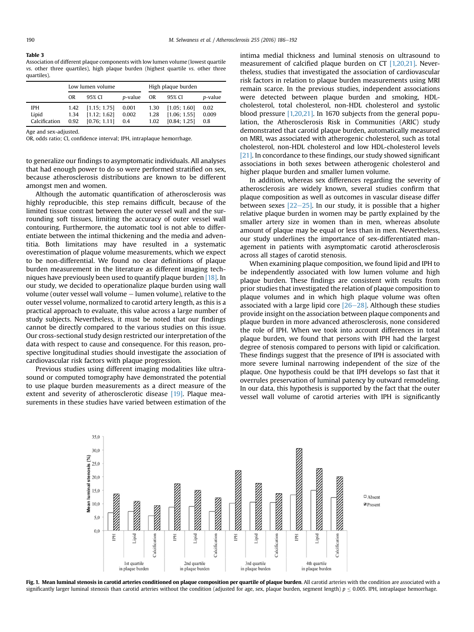#### <span id="page-4-0"></span>Table 3

Association of different plaque components with low lumen volume (lowest quartile vs. other three quartiles), high plaque burden (highest quartile vs. other three quartiles).

|               | Low lumen volume |              |                 | High plaque burden |              |         |  |
|---------------|------------------|--------------|-----------------|--------------------|--------------|---------|--|
|               | OR.              | 95% CI       | <i>p</i> -value | 0R                 | 95% CI       | p-value |  |
| <b>IPH</b>    | 1.42             | [1.15; 1.75] | 0.001           | 1.30               | [1.05; 1.60] | 0.02    |  |
| Lipid         | 1.34             | [1.12; 1.62] | 0.002           | 1.28               | [1.06; 1.55] | 0.009   |  |
| Calcification | 0.92             | [0.76; 1.11] | 0.4             | 1.02               | [0.84; 1.25] | 0.8     |  |

Age and sex-adjusted.

OR, odds ratio; CI, confidence interval; IPH, intraplaque hemorrhage.

to generalize our findings to asymptomatic individuals. All analyses that had enough power to do so were performed stratified on sex, because atherosclerosis distributions are known to be different amongst men and women.

Although the automatic quantification of atherosclerosis was highly reproducible, this step remains difficult, because of the limited tissue contrast between the outer vessel wall and the surrounding soft tissues, limiting the accuracy of outer vessel wall contouring. Furthermore, the automatic tool is not able to differentiate between the intimal thickening and the media and adventitia. Both limitations may have resulted in a systematic overestimation of plaque volume measurements, which we expect to be non-differential. We found no clear definitions of plaque burden measurement in the literature as different imaging techniques have previously been used to quantify plaque burden [\[18\].](#page-6-0) In our study, we decided to operationalize plaque burden using wall volume (outer vessel wall volume  $-$  lumen volume), relative to the outer vessel volume, normalized to carotid artery length, as this is a practical approach to evaluate, this value across a large number of study subjects. Nevertheless, it must be noted that our findings cannot be directly compared to the various studies on this issue. Our cross-sectional study design restricted our interpretation of the data with respect to cause and consequence. For this reason, prospective longitudinal studies should investigate the association of cardiovascular risk factors with plaque progression.

Previous studies using different imaging modalities like ultrasound or computed tomography have demonstrated the potential to use plaque burden measurements as a direct measure of the extent and severity of atherosclerotic disease [\[19\].](#page-6-0) Plaque measurements in these studies have varied between estimation of the

intima medial thickness and luminal stenosis on ultrasound to measurement of calcified plaque burden on CT [\[1,20,21\]](#page-5-0). Nevertheless, studies that investigated the association of cardiovascular risk factors in relation to plaque burden measurements using MRI remain scarce. In the previous studies, independent associations were detected between plaque burden and smoking, HDLcholesterol, total cholesterol, non-HDL cholesterol and systolic blood pressure [\[1,20,21\]](#page-5-0). In 1670 subjects from the general population, the Atherosclerosis Risk in Communities (ARIC) study demonstrated that carotid plaque burden, automatically measured on MRI, was associated with atherogenic cholesterol, such as total cholesterol, non-HDL cholesterol and low HDL-cholesterol levels [\[21\].](#page-6-0) In concordance to these findings, our study showed significant associations in both sexes between atherogenic cholesterol and higher plaque burden and smaller lumen volume.

In addition, whereas sex differences regarding the severity of atherosclerosis are widely known, several studies confirm that plaque composition as well as outcomes in vascular disease differ between sexes  $[22-25]$  $[22-25]$  $[22-25]$ . In our study, it is possible that a higher relative plaque burden in women may be partly explained by the smaller artery size in women than in men, whereas absolute amount of plaque may be equal or less than in men. Nevertheless, our study underlines the importance of sex-differentiated management in patients with asymptomatic carotid atherosclerosis across all stages of carotid stenosis.

When examining plaque composition, we found lipid and IPH to be independently associated with low lumen volume and high plaque burden. These findings are consistent with results from prior studies that investigated the relation of plaque composition to plaque volumes and in which high plaque volume was often associated with a large lipid core  $[26-28]$  $[26-28]$  $[26-28]$ . Although these studies provide insight on the association between plaque components and plaque burden in more advanced atherosclerosis, none considered the role of IPH. When we took into account differences in total plaque burden, we found that persons with IPH had the largest degree of stenosis compared to persons with lipid or calcification. These findings suggest that the presence of IPH is associated with more severe luminal narrowing independent of the size of the plaque. One hypothesis could be that IPH develops so fast that it overrules preservation of luminal patency by outward remodeling. In our data, this hypothesis is supported by the fact that the outer vessel wall volume of carotid arteries with IPH is significantly



Fig. 1. Mean luminal stenosis in carotid arteries conditioned on plaque composition per quartile of plaque burden. All carotid arteries with the condition are associated with a significantly larger luminal stenosis than carotid arteries without the condition (adjusted for age, sex, plaque burden, segment length)  $p \le 0.005$ . IPH, intraplaque hemorrhage.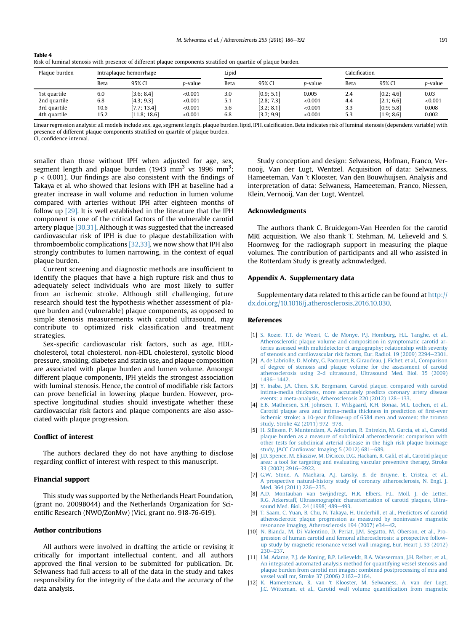| -lable 4                                                                                                       |
|----------------------------------------------------------------------------------------------------------------|
| Risk of luminal stenosis with presence of different plaque components stratified on quartile of plaque burden. |
|                                                                                                                |

| Plaque burden | Intraplaque hemorrhage |              | Lipid   |      |            | Calcification   |      |            |                 |
|---------------|------------------------|--------------|---------|------|------------|-----------------|------|------------|-----------------|
|               | Beta                   | 95% CI       | p-value | Beta | 95% CI     | <i>p</i> -value | Beta | 95% CI     | <i>p</i> -value |
| 1st quartile  | 6.0                    | [3.6; 8.4]   | < 0.001 | 3.0  | [0.9; 5.1] | 0.005           | 2.4  | [0.2; 4.6] | 0.03            |
| 2nd quartile  | 6.8                    | [4.3: 9.3]   | < 0.001 | 5.1  | [2.8; 7.3] | < 0.001         | 4.4  | [2.1; 6.6] | < 0.001         |
| 3rd quartile  | 10.6                   | [7.7; 13.4]  | < 0.001 | 5.6  | [3.2; 8.1] | < 0.001         | 3.3  | [0.9; 5.8] | 0.008           |
| 4th quartile  | 15.2                   | [11.8; 18.6] | < 0.001 | 6.8  | [3.7; 9.9] | < 0.001         | 5.3  | [1.9; 8.6] | 0.002           |

Linear regression analysis: all models include sex, age, segment length, plaque burden, lipid, IPH, calcification. Beta indicates risk of luminal stenosis (dependent variable) with presence of different plaque components stratified on quartile of plaque burden. CI, confidence interval.

<span id="page-5-0"></span> $\pm$   $\pm$   $\pm$   $\pm$ 

smaller than those without IPH when adjusted for age, sex, segment length and plaque burden (1943 mm $^3$  vs 1996 mm $^3;$  $p < 0.001$ ). Our findings are also consistent with the findings of Takaya et al. who showed that lesions with IPH at baseline had a greater increase in wall volume and reduction in lumen volume compared with arteries without IPH after eighteen months of follow up [\[29\]](#page-6-0). It is well established in the literature that the IPH component is one of the critical factors of the vulnerable carotid artery plaque [\[30,31\]](#page-6-0). Although it was suggested that the increased cardiovascular risk of IPH is due to plaque destabilization with thromboembolic complications [\[32,33\],](#page-6-0) we now show that IPH also strongly contributes to lumen narrowing, in the context of equal plaque burden.

Current screening and diagnostic methods are insufficient to identify the plaques that have a high rupture risk and thus to adequately select individuals who are most likely to suffer from an ischemic stroke. Although still challenging, future research should test the hypothesis whether assessment of plaque burden and (vulnerable) plaque components, as opposed to simple stenosis measurements with carotid ultrasound, may contribute to optimized risk classification and treatment strategies.

Sex-specific cardiovascular risk factors, such as age, HDLcholesterol, total cholesterol, non-HDL cholesterol, systolic blood pressure, smoking, diabetes and statin use, and plaque composition are associated with plaque burden and lumen volume. Amongst different plaque components, IPH yields the strongest association with luminal stenosis. Hence, the control of modifiable risk factors can prove beneficial in lowering plaque burden. However, prospective longitudinal studies should investigate whether these cardiovascular risk factors and plaque components are also associated with plaque progression.

## Conflict of interest

The authors declared they do not have anything to disclose regarding conflict of interest with respect to this manuscript.

## Financial support

This study was supported by the Netherlands Heart Foundation, (grant no. 2009B044) and the Netherlands Organization for Scientific Research (NWO/ZonMw) (Vici, grant no. 918-76-619).

# Author contributions

All authors were involved in drafting the article or revising it critically for important intellectual content, and all authors approved the final version to be submitted for publication. Dr. Selwaness had full access to all of the data in the study and takes responsibility for the integrity of the data and the accuracy of the data analysis.

Study conception and design: Selwaness, Hofman, Franco, Vernooij, Van der Lugt, Wentzel. Acquisition of data: Selwaness, Hameeteman, Van 't Klooster, Van den Bouwhuijsen. Analysis and interpretation of data: Selwaness, Hameeteman, Franco, Niessen, Klein, Vernooij, Van der Lugt, Wentzel.

# Acknowledgments

The authors thank C. Bruidegom-Van Heerden for the carotid MRI acquisition. We also thank T. Stehman, M. Lelieveld and S. Hoornweg for the radiograph support in measuring the plaque volumes. The contribution of participants and all who assisted in the Rotterdam Study is greatly acknowledged.

# Appendix A. Supplementary data

Supplementary data related to this article can be found at [http://](http://dx.doi.org/10.1016/j.atherosclerosis.2016.10.030) [dx.doi.org/10.1016/j.atherosclerosis.2016.10.030](http://dx.doi.org/10.1016/j.atherosclerosis.2016.10.030).

### References

- [1] [S. Rozie, T.T. de Weert, C. de Monye, P.J. Homburg, H.L. Tanghe, et al.,](http://refhub.elsevier.com/S0021-9150(16)31433-2/sref1) [Atherosclerotic plaque volume and composition in symptomatic carotid ar](http://refhub.elsevier.com/S0021-9150(16)31433-2/sref1)[teries assessed with multidetector ct angiography; relationship with severity](http://refhub.elsevier.com/S0021-9150(16)31433-2/sref1) [of stenosis and cardiovascular risk factors, Eur. Radiol. 19 \(2009\) 2294](http://refhub.elsevier.com/S0021-9150(16)31433-2/sref1)–[2301](http://refhub.elsevier.com/S0021-9150(16)31433-2/sref1).
- [2] [A. de Labriolle, D. Mohty, G. Pacouret, B. Giraudeau, J. Fichet, et al., Comparison](http://refhub.elsevier.com/S0021-9150(16)31433-2/sref2) [of degree of stenosis and plaque volume for the assessment of carotid](http://refhub.elsevier.com/S0021-9150(16)31433-2/sref2) [atherosclerosis using 2-d ultrasound, Ultrasound Med. Biol. 35 \(2009\)](http://refhub.elsevier.com/S0021-9150(16)31433-2/sref2) [1436](http://refhub.elsevier.com/S0021-9150(16)31433-2/sref2)-[1442.](http://refhub.elsevier.com/S0021-9150(16)31433-2/sref2)
- [3] [Y. Inaba, J.A. Chen, S.R. Bergmann, Carotid plaque, compared with carotid](http://refhub.elsevier.com/S0021-9150(16)31433-2/sref3) [intima-media thickness, more accurately predicts coronary artery disease](http://refhub.elsevier.com/S0021-9150(16)31433-2/sref3) [events: a meta-analysis, Atherosclerosis 220 \(2012\) 128](http://refhub.elsevier.com/S0021-9150(16)31433-2/sref3)–[133.](http://refhub.elsevier.com/S0021-9150(16)31433-2/sref3)
- [4] [E.B. Mathiesen, S.H. Johnsen, T. Wilsgaard, K.H. Bonaa, M.L. Lochen, et al.,](http://refhub.elsevier.com/S0021-9150(16)31433-2/sref4) [Carotid plaque area and intima-media thickness in prediction of](http://refhub.elsevier.com/S0021-9150(16)31433-2/sref4) first-ever [ischemic stroke: a 10-year follow-up of 6584 men and women: the tromso](http://refhub.elsevier.com/S0021-9150(16)31433-2/sref4) [study, Stroke 42 \(2011\) 972](http://refhub.elsevier.com/S0021-9150(16)31433-2/sref4)-[978](http://refhub.elsevier.com/S0021-9150(16)31433-2/sref4).
- [5] [H. Sillesen, P. Muntendam, A. Adourian, R. Entrekin, M. Garcia, et al., Carotid](http://refhub.elsevier.com/S0021-9150(16)31433-2/sref5) [plaque burden as a measure of subclinical atherosclerosis: comparison with](http://refhub.elsevier.com/S0021-9150(16)31433-2/sref5) [other tests for subclinical arterial disease in the high risk plaque bioimage](http://refhub.elsevier.com/S0021-9150(16)31433-2/sref5) study, JACC Cardiovasc Imaging  $5(2012)$  681-[689.](http://refhub.elsevier.com/S0021-9150(16)31433-2/sref5)
- [6] [J.D. Spence, M. Eliasziw, M. DiCicco, D.G. Hackam, R. Galil, et al., Carotid plaque](http://refhub.elsevier.com/S0021-9150(16)31433-2/sref6) [area: a tool for targeting and evaluating vascular preventive therapy, Stroke](http://refhub.elsevier.com/S0021-9150(16)31433-2/sref6) [33 \(2002\) 2916](http://refhub.elsevier.com/S0021-9150(16)31433-2/sref6)-[2922.](http://refhub.elsevier.com/S0021-9150(16)31433-2/sref6)
- [7] [G.W. Stone, A. Maehara, A.J. Lansky, B. de Bruyne, E. Cristea, et al.,](http://refhub.elsevier.com/S0021-9150(16)31433-2/sref7) [A prospective natural-history study of coronary atherosclerosis, N. Engl. J.](http://refhub.elsevier.com/S0021-9150(16)31433-2/sref7) [Med. 364 \(2011\) 226](http://refhub.elsevier.com/S0021-9150(16)31433-2/sref7)-[235](http://refhub.elsevier.com/S0021-9150(16)31433-2/sref7).
- [8] [A.D. Montauban van Swijndregt, H.R. Elbers, F.L. Moll, J. de Letter,](http://refhub.elsevier.com/S0021-9150(16)31433-2/sref8) [R.G. Ackerstaff, Ultrasonographic characterization of carotid plaques, Ultra](http://refhub.elsevier.com/S0021-9150(16)31433-2/sref8)[sound Med. Biol. 24 \(1998\) 489](http://refhub.elsevier.com/S0021-9150(16)31433-2/sref8)-[493](http://refhub.elsevier.com/S0021-9150(16)31433-2/sref8).
- [9] [T. Saam, C. Yuan, B. Chu, N. Takaya, H. Underhill, et al., Predictors of carotid](http://refhub.elsevier.com/S0021-9150(16)31433-2/sref9) [atherosclerotic plaque progression as measured by noninvasive magnetic](http://refhub.elsevier.com/S0021-9150(16)31433-2/sref9) [resonance imaging, Atherosclerosis 194 \(2007\) e34](http://refhub.elsevier.com/S0021-9150(16)31433-2/sref9)-[42](http://refhub.elsevier.com/S0021-9150(16)31433-2/sref9).
- [10] [N. Bianda, M. Di Valentino, D. Periat, J.M. Segatto, M. Oberson, et al., Pro](http://refhub.elsevier.com/S0021-9150(16)31433-2/sref10)[gression of human carotid and femoral atherosclerosis: a prospective follow](http://refhub.elsevier.com/S0021-9150(16)31433-2/sref10)[up study by magnetic resonance vessel wall imaging, Eur. Heart J. 33 \(2012\)](http://refhub.elsevier.com/S0021-9150(16)31433-2/sref10) [230](http://refhub.elsevier.com/S0021-9150(16)31433-2/sref10)-237
- [11] [I.M. Adame, P.J. de Koning, B.P. Lelieveldt, B.A. Wasserman, J.H. Reiber, et al.,](http://refhub.elsevier.com/S0021-9150(16)31433-2/sref11) [An integrated automated analysis method for quantifying vessel stenosis and](http://refhub.elsevier.com/S0021-9150(16)31433-2/sref11) [plaque burden from carotid mri images: combined postprocessing of mra and](http://refhub.elsevier.com/S0021-9150(16)31433-2/sref11) [vessel wall mr, Stroke 37 \(2006\) 2162](http://refhub.elsevier.com/S0021-9150(16)31433-2/sref11)-[2164.](http://refhub.elsevier.com/S0021-9150(16)31433-2/sref11)
- [12] [K. Hameeteman, R. van 't Klooster, M. Selwaness, A. van der Lugt,](http://refhub.elsevier.com/S0021-9150(16)31433-2/sref12) [J.C. Witteman, et al., Carotid wall volume quanti](http://refhub.elsevier.com/S0021-9150(16)31433-2/sref12)fication from magnetic